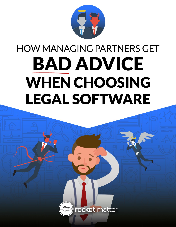

# **HOW MANAGING PARTNERS GET BAD ADVICE WHEN CHOOSING LEGAL SOFTWARE**

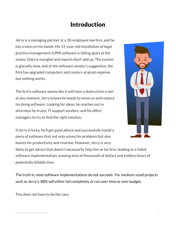## Introduction

Jerry is a managing partner at a 30-employee law firm, and he has a mess on his hands. His 15-year-old installation of legal practice management (LPM) software is falling apart at the seams. Data is mangled and reports don't add up. The system is glacially slow, and at the software vendor's suggestion, the firm has upgraded computers and routers at great expense but nothing works.

The firm's software seems like it will have a destructive crash at any moment. Jerry knows he needs to move on and replace his dying software. Looking for ideas, he reaches out to attorneys he trusts, IT support vendors, and his office managers to try to find the right solution.

If Jerry is lucky, he'll get good advice and successfully install a piece of software that not only solves his problems but also boosts his productivity and revenue. However, Jerry is very likely to get advice that doesn't necessarily help him or his firm, leading to a failed software implementation, wasting tens of thousands of dollars and endless hours of

The truth is, most software implementations do not succeed. For medium-sized projects

such as Jerry's, 88% will either fail completely or run over time or over budget.

This does not have to be the case.

potentially billable time.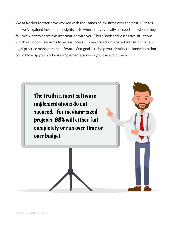We at Rocket Matter have worked with thousands of law firms over the past 12 years, and we've gained invaluable insights as to where they typically succeed and where they fail. We want to share this information with you: This eBook addresses five situations which will doom law firms to an unsuccessful, overpriced, or bloated transition to new legal practice management software. Our goal is to help you identify the landmines that could blow up your software implementation—so you can avoid them.

The truth is, most software implementations do not succeed. For medium-sized projects, 88% will either fail completely or run over time or over budget.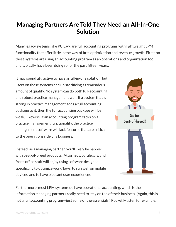## **Managing Partners Are Told They Need an All-In-One Solution**

Many legacy systems, like PC Law, are full accounting programs with lightweight LPM functionality that offer little in the way of firm optimization and revenue growth. Firms on these systems are using an accounting program as an operations and organization tool and typically have been doing so for the past fifteen years.

It may sound attractive to have an all-in-one solution, but users on these systems end up sacrificing a tremendous amount of quality. No system can do both full-accounting and robust practice management well. If a system that is strong in practice management adds a full accounting package to it, then the full accounting package will be weak. Likewise, if an accounting program tacks on a practice management functionality, the practice management software will lack features that are critical to the operations side of a business.

Instead, as a managing partner, you'll likely be happier with best-of-breed products. Attorneys, paralegals, and front-office staff will enjoy using software designed specifically to optimize workflows, to run well on mobile devices, and to have pleasant user experiences.



Furthermore, most LPM systems do have operational accounting, which is the information managing partners really need to stay on top of their business. (Again, this is not a full accounting program—just some of the essentials.) Rocket Matter, for example,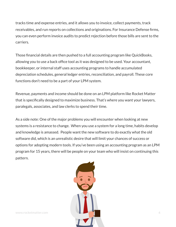tracks time and expense entries, and it allows you to invoice, collect payments, track receivables, and run reports on collections and originations. For Insurance Defense firms, you can even perform invoice audits to predict rejection before those bills are sent to the carriers.

Those financial details are then pushed to a full accounting program like QuickBooks, allowing you to use a back office tool as it was designed to be used. Your accountant, bookkeeper, or internal staff uses accounting programs to handle accumulated depreciation schedules, general ledger entries, reconciliation, and payroll. These core functions don't need to be a part of your LPM system.

Revenue, payments and income should be done on an LPM platform like Rocket Matter that is specifically designed to maximize business. That's where you want your lawyers, paralegals, associates, and law clerks to spend their time.

As a side note: One of the major problems you will encounter when looking at new systems is a resistance to change. When you use a system for a long time, habits develop and knowledge is amassed. People want the new software to do exactly what the old software did, which is an unrealistic desire that will limit your chances of success or options for adopting modern tools. If you've been using an accounting program as an LPM program for 15 years, there will be people on your team who will insist on continuing this pattern.

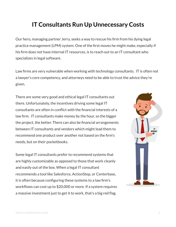## **IT Consultants Run Up Unnecessary Costs**

Our hero, managing partner Jerry, seeks a way to rescue his firm from his dying legal practice management (LPM) system. One of the first moves he might make, especially if his firm does not have internal IT resources, is to reach out to an IT consultant who specializes in legal software.

Law firms are very vulnerable when working with technology consultants. IT is often not a lawyer's core competency, and attorneys need to be able to trust the advice they're given.

There are some very good and ethical legal IT consultants out there. Unfortunately, the incentives driving some legal IT consultants are often in conflict with the financial interests of a law firm. IT consultants make money by the hour, so the bigger the project, the better. There can also be financial arrangements between IT consultants and vendors which might lead them to recommend one product over another not based on the firm's needs, but on their pocketbooks.

Some legal IT consultants prefer to recommend systems that are highly customizable as opposed to those that work cleanly and easily out of the box. When a legal IT consultant recommends a tool like Salesforce, ActionStep, or Centerbase, it is often because configuring these systems to a law firm's workflows can cost up to \$20,000 or more. If a system requires a massive investment just to get it to work, that's a big red flag.

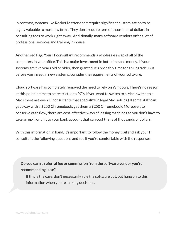In contrast, systems like Rocket Matter don't require significant customization to be highly valuable to most law firms. They don't require tens of thousands of dollars in consulting fees to work right away. Additionally, many software vendors offer a lot of professional services and training in-house.

Another red flag: Your IT consultant recommends a wholesale swap of all of the computers in your office. This is a major investment in both time and money. If your systems are five years old or older, then granted, it's probably time for an upgrade. But before you invest in new systems, consider the requirements of your software.

Cloud software has completely removed the need to rely on Windows. There's no reason at this point in time to be restricted to PC's. If you want to switch to a Mac, switch to a Mac (there are even IT consultants that specialize in legal Mac setups.) If some staff can get away with a \$250 Chromebook, get them a \$250 Chromebook. Moreover, to conserve cash flow, there are cost-effective ways of leasing machines so you don't have to take an up-front hit to your bank account that can cost thens of thousands of dollars.

With this information in hand, it's important to follow the money trail and ask your IT consultant the following questions and see if you're comfortable with the responses:

#### **Do you earn a referral fee or commission from the software vendor you're recommending I use?**

If this is the case, don't necessarily rule the software out, but hang on to this information when you're making decisions.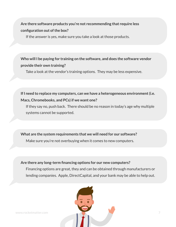#### **Are there software products you're not recommending that require less configuration out of the box?**

If the answer is yes, make sure you take a look at those products.

#### **Who will I be paying for training on the software, and does the software vendor provide their own training?**

Take a look at the vendor's training options. They may be less expensive.

#### **If I need to replace my computers, can we have a heterogeneous environment (i.e. Macs, Chromebooks, and PCs) if we want one?**

If they say no, push back. There should be no reason in today's age why multiple systems cannot be supported.

#### **What are the system requirements that we will need for our software?**

Make sure you're not overbuying when it comes to new computers.

#### **Are there any long-term financing options for our new computers?**

Financing options are great, they and can be obtained through manufacturers or lending companies. Apple, DirectCapital, and your bank may be able to help out.



www.rocketmatter.com 7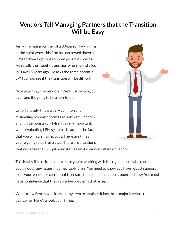## **Vendors Tell Managing Partners that the Transition Will be Easy**

Jerry, managing partner of a 30-person law firm, is at the point where his firm has narrowed down his LPM software options to three possible choices. He recalls the fraught transition when he installed PC Law 15 years ago. He asks the three potential LPM companies if the transition will be difficult.

"Not at all," say the vendors. "We'll just switch you over, and it's going to be a non-issue."

Unfortunately, this is a very common and misleading response from LPM software vendors, and it is demonstrably false. It's very important, when evaluating LPM systems, to accept the fact that you will run into hiccups. There are times you're going to be frustrated. There are situations



that will arise that will pit your staff against your consultant or vendor.

This is why it's critical to make sure you're working with the right people who can help you through any issues that inevitably arise. You need to know you have robust support from your vendor or consultant to ensure that communication is open and easy. You must have confidence that they can solve problems that arise.

When a law firm moves from one system to another, it has three major barriers to overcome. Here's a look at all three: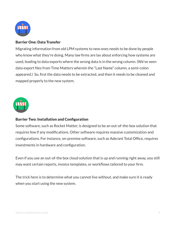

#### Barrier One: Data Transfer

Migrating information from old LPM systems to new ones needs to be done by people who know what they're doing. Many law firms are lax about enforcing how systems are used, leading to data exports where the wrong data is in the wrong column. (We've seen data export files from Time Matters wherein the "Last Name" column, a semi-colon appeared.) So, first the data needs to be extracted, and then it needs to be cleaned and mapped properly to the new system.



#### Barrier Two: Installation and Configuration

Some software, such as Rocket Matter, is designed to be an out-of-the-box solution that requires few if any modifications. Other software requires massive customization and configurations. For instance, on-premise software, such as Aderant Total Office, requires investments in hardware and configuration.

Even if you use an out-of-the box cloud solution that is up and running right away, you still may want certain reports, invoice templates, or workflows tailored to your firm.

The trick here is to determine what you cannot live without, and make sure it is ready when you start using the new system.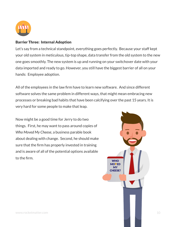

#### Barrier Three: Internal Adoption

Let's say from a technical standpoint, everything goes perfectly. Because your staff kept your old system in meticulous, tip-top shape, data transfer from the old system to the new one goes smoothly. The new system is up and running on your switchover date with your data imported and ready to go. However, you still have the biggest barrier of all on your hands: Employee adoption.

All of the employees in the law firm have to learn new software. And since different software solves the same problem in different ways, that might mean embracing new processes or breaking bad habits that have been calcifying over the past 15 years. It is very hard for some people to make that leap.

Now might be a good time for Jerry to do two things. First, he may want to pass around copies of *Who Moved My Cheese*, a business parable book about dealing with change. Second, he should make sure that the firm has properly invested in training and is aware of all of the potential options available to the firm.

www.rocketmatter.com 10 **WHO MOVED** MY CHEESE?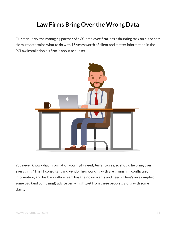## **Law Firms Bring Over the Wrong Data**

Our man Jerry, the managing partner of a 30-employee firm, has a daunting task on his hands: He must determine what to do with 15 years worth of client and matter information in the PCLaw installation his firm is about to sunset.



You never know what information you might need, Jerry figures, so should he bring over everything? The IT consultant and vendor he's working with are giving him conflicting information, and his back-office team has their own wants and needs. Here's an example of some bad (and confusing!) advice Jerry might get from these people… along with some clarity: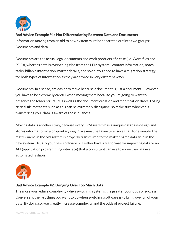

#### Bad Advice Example #1: Not Differentiating Between Data and Documents

Information moving from an old to new system must be separated out into two groups: Documents and data.

Documents are the actual legal documents and work products of a case (i.e. Word files and PDFs), whereas data is everything else from the LPM system—contact information, notes, tasks, billable information, matter details, and so on. You need to have a migration strategy for both types of information as they are stored in very different ways.

Documents, in a sense, are easier to move because a document is just a document. However, you have to be extremely careful when moving them because you're going to want to preserve the folder structure as well as the document creation and modification dates. Losing critical file metadata such as this can be extremely disruptive, so make sure whoever is transferring your data is aware of these nuances.

Moving data is another story, because every LPM system has a unique database design and stores information in a proprietary way. Care must be taken to ensure that, for example, the matter name in the old system is properly transferred to the matter name data field in the new system. Usually your new software will either have a file format for importing data or an API (application programming interface) that a consultant can use to move the data in an automated fashion.



#### Bad Advice Example #2: Bringing Over Too Much Data

The more you reduce complexity when switching systems, the greater your odds of success. Conversely, the last thing you want to do when switching software is to bring over all of your data. By doing so, you greatly increase complexity and the odds of project failure.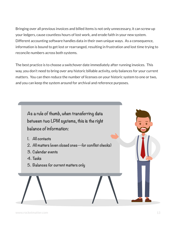Bringing over all previous invoices and billed items is not only unnecessary, it can screw up your ledgers, cause countless hours of lost work, and erode faith in your new system. Different accounting software handles data in their own unique ways. As a consequence, information is bound to get lost or rearranged, resulting in frustration and lost time trying to reconcile numbers across both systems.

The best practice is to choose a switchover date immediately after running invoices. This way, you don't need to bring over any historic billable activity, only balances for your current matters. You can then reduce the number of licenses on your historic system to one or two, and you can keep the system around for archival and reference purposes.

**As a rule of thumb, when transferring data between two LPM systems, this is the right balance of information:** 

- **1. All contacts**
- **2. All matters (even closed ones—for conflict checks)**
- **3. Calendar events**
- **4. Tasks**
- **5. Balances for current matters only**

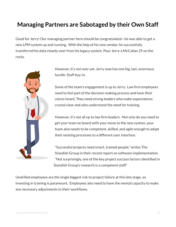## **Managing Partners are Sabotaged by their Own Staff**

Good for Jerry! Our managing partner hero should be congratulated—he was able to get a new LPM system up and running. With the help of his new vendor, he successfully transferred his data cleanly over from his legacy system. Pour Jerry a McCallan 25 on the rocks.



However, it's not over yet. Jerry now has one big, last, enormous hurdle: Staff buy-in.

Some of the team's engagement is up to Jerry. Law firm employees need to feel part of the decision-making process and have their voices heard. They need strong leaders who make expectations crystal clear and who understand the need for training.

However, it's not all up to law firm leaders. Not only do you need to get your team on board with your move to the new system, your team also needs to be competent, skilled, and agile enough to adapt their existing processes to a different user interface.

"Successful projects need smart, trained people," writes The Standish Group in their recent report on software implementation. "Not surprisingly, one of the key project success factors identified in Standish Group's research is a competent staff."

Unskilled employees are the single biggest risk to project failure at this late stage, so investing in training is paramount. Employees also need to have the mental capacity to make any necessary adjustments to their workflows.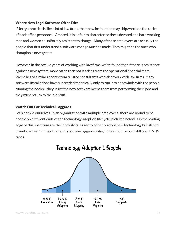#### Where New Legal Software Often Dies

If Jerry's practice is like a lot of law firms, their new installation may shipwreck on the rocks of back office personnel. Granted, it is unfair to characterize these devoted and hard working men and women as uniformly resistant to change. Many of these employees are actually the people that first understand a software change must be made. They might be the ones who champion a new system.

However, in the twelve years of working with law firms, we've found that if there is resistance against a new system, more often than not it arises from the operational financial team. We've heard similar reports from trusted consultants who also work with law firms. Many software installations have succeeded technically only to run into headwinds with the people running the books—they insist the new software keeps them from performing their jobs and they must return to the old stuff.

#### Watch Out For Technical Laggards

Let's not kid ourselves. In an organization with multiple employees, there are bound to be people on different ends of the technology adoption lifecycle, pictured below. On the leading edge of this spectrum are the innovators, eager to not only adopt new technology but also to invent change. On the other end, you have laggards, who, if they could, would still watch VHS tapes.



## **Technology Adoption Lifecycle**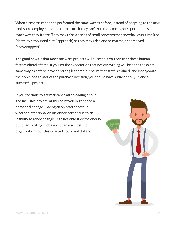When a process cannot be performed the same way as before, instead of adapting to the new tool, some employees sound the alarms. If they can't run the same exact report in the same exact way, they freeze. They may raise a series of small concerns that snowball over time (the "death by a thousand cuts" approach) or they may raise one or two major perceived "showstoppers."

The good news is that most software projects will succeed if you consider these human factors ahead of time. If you set the expectation that not everything will be done the exact same way as before, provide strong leadership, ensure that staff is trained, and incorporate their opinions as part of the purchase decision, you should have sufficient buy-in and a successful project.

If you continue to get resistance after leading a solid and inclusive project, at this point you might need a personnel change. Having an on-staff saboteur whether intentional on his or her part or due to an inability to adopt change—can not only suck the energy out of an exciting endeavor, it can also cost the organization countless wasted hours and dollars.

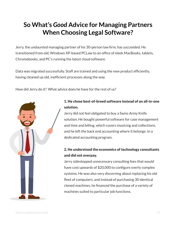## **So What's** *Good* **Advice for Managing Partners When Choosing Legal Software?**

Jerry, the undaunted managing partner of his 30-person law firm, has succeeded. He transitioned from old, Windows XP-based PCLaw to an office of sleek MacBooks, tablets, Chromebooks, and PC's running the latest cloud software.

Data was migrated successfully. Staff are trained and using the new product efficiently, having cleaned up old, inefficient processes along the way.

How did Jerry do it? What advice does he have for the rest of us?



#### 1. He chose best-of-breed software instead of an all-in-one solution.

Jerry did not feel obligated to buy a Swiss Army Knife solution. He bought powerful software for case management and time and billing, which covers invoicing and collections, and he left the back end accounting where it belongs: In a dedicated accounting program.

#### 2. He understood the economics of technology consultants and did not overpay.

Jerry sidestepped unnecessary consulting fees that would have cost upwards of \$20,000 to configure overly complex systems. He was also very discerning about replacing his old fleet of computers, and instead of purchasing 30 identical cloned machines, he financed the purchase of a variety of machines suited to particular job functions.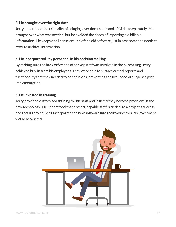#### 3. He brought over the right data.

Jerry understood the criticality of bringing over documents and LPM data separately. He brought over what was needed, but he avoided the chaos of importing old billable information. He keeps one license around of the old software just in case someone needs to refer to archival information.

#### 4. He incorporated key personnel in his decision making.

By making sure the back office and other key staff was involved in the purchasing, Jerry achieved buy-in from his employees. They were able to surface critical reports and functionality that they needed to do their jobs, preventing the likelihood of surprises postimplementation.

#### 5. He invested in training.

Jerry provided customized training for his staff and insisted they become proficient in the new technology. He understood that a smart, capable staff is critical to a project's success, and that if they couldn't incorporate the new software into their workflows, his investment would be wasted.

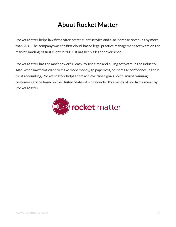## **About Rocket Matter**

Rocket Matter helps law firms offer better client service and also increase revenues by more than 20%. The company was the first cloud-based legal practice management software on the market, landing its first client in 2007. It has been a leader ever since.

Rocket Matter has the most powerful, easy-to-use time and billing software in the industry. Also, when law firms want to make more money, go paperless, or increase confidence in their trust accounting, Rocket Matter helps them achieve those goals. With award-winning customer service based in the United States, it's no wonder thousands of law firms swear by Rocket Matter.